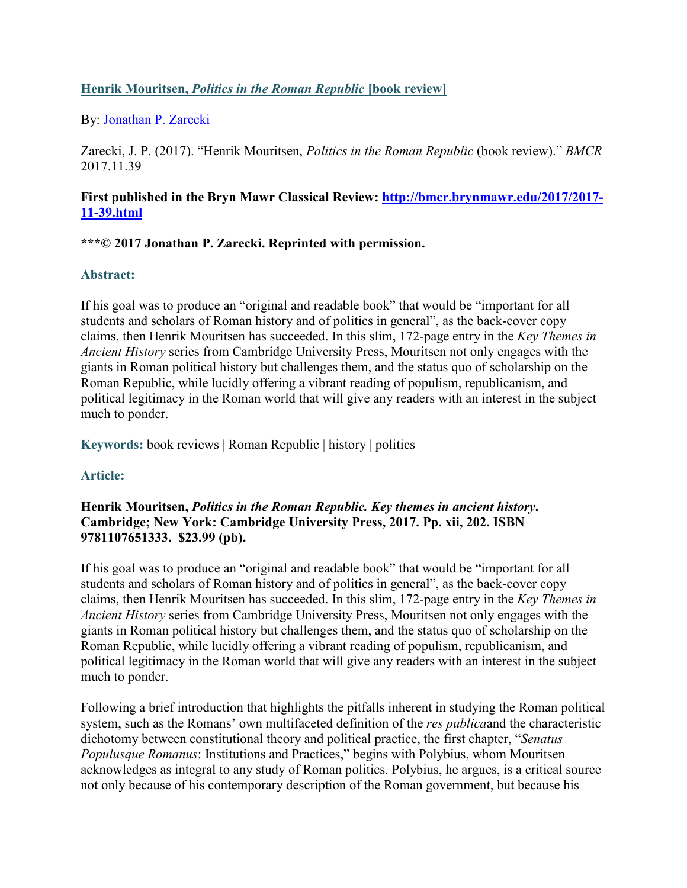## **Henrik Mouritsen,** *Politics in the Roman Republic* **[book review]**

By: [Jonathan P. Zarecki](https://libres.uncg.edu/ir/uncg/clist.aspx?id=96)

Zarecki, J. P. (2017). "Henrik Mouritsen, *Politics in the Roman Republic* (book review)." *BMCR* 2017.11.39

#### **First published in the Bryn Mawr Classical Review: [http://bmcr.brynmawr.edu/2017/2017-](http://bmcr.brynmawr.edu/2017/2017-11-39.html) [11-39.html](http://bmcr.brynmawr.edu/2017/2017-11-39.html)**

## **\*\*\*© 2017 Jonathan P. Zarecki. Reprinted with permission.**

## **Abstract:**

If his goal was to produce an "original and readable book" that would be "important for all students and scholars of Roman history and of politics in general", as the back-cover copy claims, then Henrik Mouritsen has succeeded. In this slim, 172-page entry in the *Key Themes in Ancient History* series from Cambridge University Press, Mouritsen not only engages with the giants in Roman political history but challenges them, and the status quo of scholarship on the Roman Republic, while lucidly offering a vibrant reading of populism, republicanism, and political legitimacy in the Roman world that will give any readers with an interest in the subject much to ponder.

**Keywords:** book reviews | Roman Republic | history | politics

# **Article:**

#### **Henrik Mouritsen,** *Politics in the Roman Republic. Key themes in ancient history***. Cambridge; New York: Cambridge University Press, 2017. Pp. xii, 202. ISBN 9781107651333. \$23.99 (pb).**

If his goal was to produce an "original and readable book" that would be "important for all students and scholars of Roman history and of politics in general", as the back-cover copy claims, then Henrik Mouritsen has succeeded. In this slim, 172-page entry in the *Key Themes in Ancient History* series from Cambridge University Press, Mouritsen not only engages with the giants in Roman political history but challenges them, and the status quo of scholarship on the Roman Republic, while lucidly offering a vibrant reading of populism, republicanism, and political legitimacy in the Roman world that will give any readers with an interest in the subject much to ponder.

Following a brief introduction that highlights the pitfalls inherent in studying the Roman political system, such as the Romans' own multifaceted definition of the *res publica*and the characteristic dichotomy between constitutional theory and political practice, the first chapter, "*Senatus Populusque Romanus*: Institutions and Practices," begins with Polybius, whom Mouritsen acknowledges as integral to any study of Roman politics. Polybius, he argues, is a critical source not only because of his contemporary description of the Roman government, but because his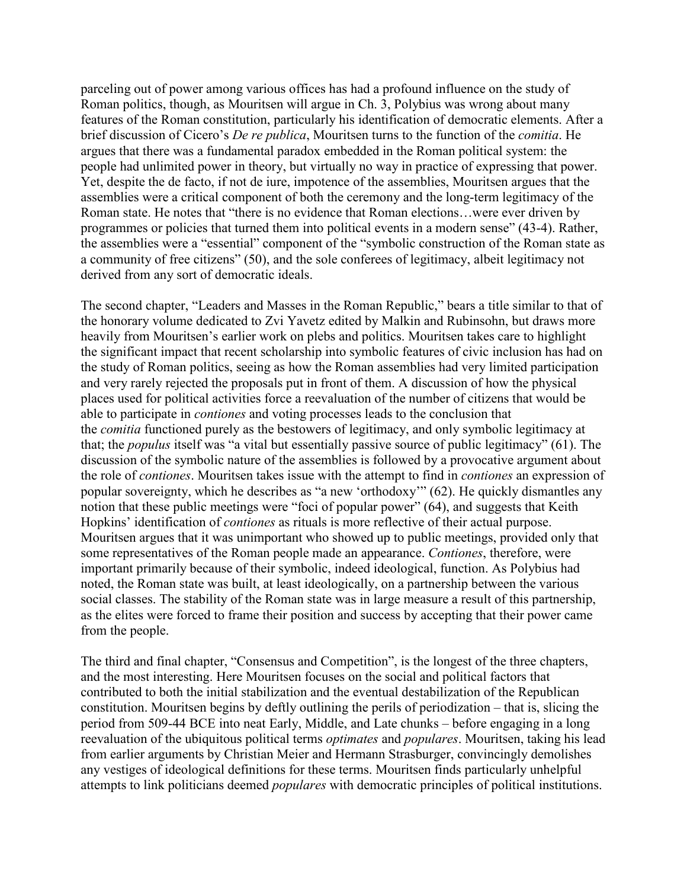parceling out of power among various offices has had a profound influence on the study of Roman politics, though, as Mouritsen will argue in Ch. 3, Polybius was wrong about many features of the Roman constitution, particularly his identification of democratic elements. After a brief discussion of Cicero's *De re publica*, Mouritsen turns to the function of the *comitia*. He argues that there was a fundamental paradox embedded in the Roman political system: the people had unlimited power in theory, but virtually no way in practice of expressing that power. Yet, despite the de facto, if not de iure, impotence of the assemblies, Mouritsen argues that the assemblies were a critical component of both the ceremony and the long-term legitimacy of the Roman state. He notes that "there is no evidence that Roman elections…were ever driven by programmes or policies that turned them into political events in a modern sense" (43-4). Rather, the assemblies were a "essential" component of the "symbolic construction of the Roman state as a community of free citizens" (50), and the sole conferees of legitimacy, albeit legitimacy not derived from any sort of democratic ideals.

The second chapter, "Leaders and Masses in the Roman Republic," bears a title similar to that of the honorary volume dedicated to Zvi Yavetz edited by Malkin and Rubinsohn, but draws more heavily from Mouritsen's earlier work on plebs and politics. Mouritsen takes care to highlight the significant impact that recent scholarship into symbolic features of civic inclusion has had on the study of Roman politics, seeing as how the Roman assemblies had very limited participation and very rarely rejected the proposals put in front of them. A discussion of how the physical places used for political activities force a reevaluation of the number of citizens that would be able to participate in *contiones* and voting processes leads to the conclusion that the *comitia* functioned purely as the bestowers of legitimacy, and only symbolic legitimacy at that; the *populus* itself was "a vital but essentially passive source of public legitimacy" (61). The discussion of the symbolic nature of the assemblies is followed by a provocative argument about the role of *contiones*. Mouritsen takes issue with the attempt to find in *contiones* an expression of popular sovereignty, which he describes as "a new 'orthodoxy'" (62). He quickly dismantles any notion that these public meetings were "foci of popular power" (64), and suggests that Keith Hopkins' identification of *contiones* as rituals is more reflective of their actual purpose. Mouritsen argues that it was unimportant who showed up to public meetings, provided only that some representatives of the Roman people made an appearance. *Contiones*, therefore, were important primarily because of their symbolic, indeed ideological, function. As Polybius had noted, the Roman state was built, at least ideologically, on a partnership between the various social classes. The stability of the Roman state was in large measure a result of this partnership, as the elites were forced to frame their position and success by accepting that their power came from the people.

The third and final chapter, "Consensus and Competition", is the longest of the three chapters, and the most interesting. Here Mouritsen focuses on the social and political factors that contributed to both the initial stabilization and the eventual destabilization of the Republican constitution. Mouritsen begins by deftly outlining the perils of periodization – that is, slicing the period from 509-44 BCE into neat Early, Middle, and Late chunks – before engaging in a long reevaluation of the ubiquitous political terms *optimates* and *populares*. Mouritsen, taking his lead from earlier arguments by Christian Meier and Hermann Strasburger, convincingly demolishes any vestiges of ideological definitions for these terms. Mouritsen finds particularly unhelpful attempts to link politicians deemed *populares* with democratic principles of political institutions.